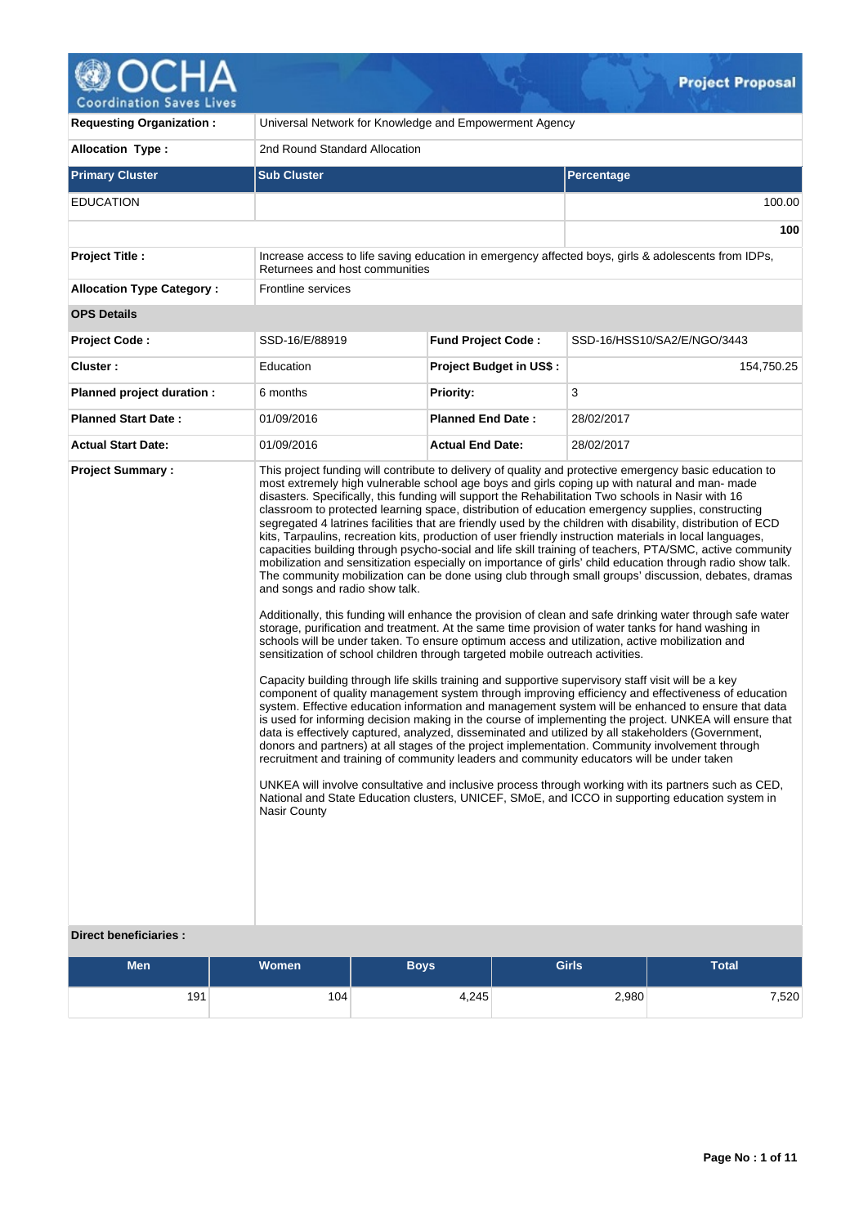

| <b>Requesting Organization:</b>  |                                                       | Universal Network for Knowledge and Empowerment Agency                                              |                                |                                                                                                                                                                                                                                                                                                                                                                                                                                                                                                                                                                                                                                                                                                                                                                                                                                                                                                                                                                                                                                                                                                                                                                                                                                                                                                                                                                                                                                                                                                                                                                                                                                                                                                                                                                                                                                                                                                                                                                                                                                                                                                                                                                                                                                                      |                             |  |  |  |  |
|----------------------------------|-------------------------------------------------------|-----------------------------------------------------------------------------------------------------|--------------------------------|------------------------------------------------------------------------------------------------------------------------------------------------------------------------------------------------------------------------------------------------------------------------------------------------------------------------------------------------------------------------------------------------------------------------------------------------------------------------------------------------------------------------------------------------------------------------------------------------------------------------------------------------------------------------------------------------------------------------------------------------------------------------------------------------------------------------------------------------------------------------------------------------------------------------------------------------------------------------------------------------------------------------------------------------------------------------------------------------------------------------------------------------------------------------------------------------------------------------------------------------------------------------------------------------------------------------------------------------------------------------------------------------------------------------------------------------------------------------------------------------------------------------------------------------------------------------------------------------------------------------------------------------------------------------------------------------------------------------------------------------------------------------------------------------------------------------------------------------------------------------------------------------------------------------------------------------------------------------------------------------------------------------------------------------------------------------------------------------------------------------------------------------------------------------------------------------------------------------------------------------------|-----------------------------|--|--|--|--|
| <b>Allocation Type:</b>          |                                                       | 2nd Round Standard Allocation                                                                       |                                |                                                                                                                                                                                                                                                                                                                                                                                                                                                                                                                                                                                                                                                                                                                                                                                                                                                                                                                                                                                                                                                                                                                                                                                                                                                                                                                                                                                                                                                                                                                                                                                                                                                                                                                                                                                                                                                                                                                                                                                                                                                                                                                                                                                                                                                      |                             |  |  |  |  |
| <b>Primary Cluster</b>           | <b>Sub Cluster</b>                                    |                                                                                                     |                                | <b>Percentage</b>                                                                                                                                                                                                                                                                                                                                                                                                                                                                                                                                                                                                                                                                                                                                                                                                                                                                                                                                                                                                                                                                                                                                                                                                                                                                                                                                                                                                                                                                                                                                                                                                                                                                                                                                                                                                                                                                                                                                                                                                                                                                                                                                                                                                                                    |                             |  |  |  |  |
| <b>EDUCATION</b>                 |                                                       |                                                                                                     |                                |                                                                                                                                                                                                                                                                                                                                                                                                                                                                                                                                                                                                                                                                                                                                                                                                                                                                                                                                                                                                                                                                                                                                                                                                                                                                                                                                                                                                                                                                                                                                                                                                                                                                                                                                                                                                                                                                                                                                                                                                                                                                                                                                                                                                                                                      | 100.00                      |  |  |  |  |
|                                  |                                                       |                                                                                                     |                                |                                                                                                                                                                                                                                                                                                                                                                                                                                                                                                                                                                                                                                                                                                                                                                                                                                                                                                                                                                                                                                                                                                                                                                                                                                                                                                                                                                                                                                                                                                                                                                                                                                                                                                                                                                                                                                                                                                                                                                                                                                                                                                                                                                                                                                                      | 100                         |  |  |  |  |
| Project Title :                  | Returnees and host communities                        | Increase access to life saving education in emergency affected boys, girls & adolescents from IDPs, |                                |                                                                                                                                                                                                                                                                                                                                                                                                                                                                                                                                                                                                                                                                                                                                                                                                                                                                                                                                                                                                                                                                                                                                                                                                                                                                                                                                                                                                                                                                                                                                                                                                                                                                                                                                                                                                                                                                                                                                                                                                                                                                                                                                                                                                                                                      |                             |  |  |  |  |
| <b>Allocation Type Category:</b> | <b>Frontline services</b>                             |                                                                                                     |                                |                                                                                                                                                                                                                                                                                                                                                                                                                                                                                                                                                                                                                                                                                                                                                                                                                                                                                                                                                                                                                                                                                                                                                                                                                                                                                                                                                                                                                                                                                                                                                                                                                                                                                                                                                                                                                                                                                                                                                                                                                                                                                                                                                                                                                                                      |                             |  |  |  |  |
| <b>OPS Details</b>               |                                                       |                                                                                                     |                                |                                                                                                                                                                                                                                                                                                                                                                                                                                                                                                                                                                                                                                                                                                                                                                                                                                                                                                                                                                                                                                                                                                                                                                                                                                                                                                                                                                                                                                                                                                                                                                                                                                                                                                                                                                                                                                                                                                                                                                                                                                                                                                                                                                                                                                                      |                             |  |  |  |  |
| Project Code:                    | SSD-16/E/88919                                        | <b>Fund Project Code:</b>                                                                           |                                |                                                                                                                                                                                                                                                                                                                                                                                                                                                                                                                                                                                                                                                                                                                                                                                                                                                                                                                                                                                                                                                                                                                                                                                                                                                                                                                                                                                                                                                                                                                                                                                                                                                                                                                                                                                                                                                                                                                                                                                                                                                                                                                                                                                                                                                      | SSD-16/HSS10/SA2/E/NGO/3443 |  |  |  |  |
| Cluster:                         | Education                                             |                                                                                                     | <b>Project Budget in US\$:</b> |                                                                                                                                                                                                                                                                                                                                                                                                                                                                                                                                                                                                                                                                                                                                                                                                                                                                                                                                                                                                                                                                                                                                                                                                                                                                                                                                                                                                                                                                                                                                                                                                                                                                                                                                                                                                                                                                                                                                                                                                                                                                                                                                                                                                                                                      | 154,750.25                  |  |  |  |  |
| Planned project duration :       | 6 months                                              | <b>Priority:</b>                                                                                    |                                | 3                                                                                                                                                                                                                                                                                                                                                                                                                                                                                                                                                                                                                                                                                                                                                                                                                                                                                                                                                                                                                                                                                                                                                                                                                                                                                                                                                                                                                                                                                                                                                                                                                                                                                                                                                                                                                                                                                                                                                                                                                                                                                                                                                                                                                                                    |                             |  |  |  |  |
| <b>Planned Start Date:</b>       | 01/09/2016                                            | <b>Planned End Date:</b>                                                                            |                                | 28/02/2017                                                                                                                                                                                                                                                                                                                                                                                                                                                                                                                                                                                                                                                                                                                                                                                                                                                                                                                                                                                                                                                                                                                                                                                                                                                                                                                                                                                                                                                                                                                                                                                                                                                                                                                                                                                                                                                                                                                                                                                                                                                                                                                                                                                                                                           |                             |  |  |  |  |
| <b>Actual Start Date:</b>        | 01/09/2016                                            | <b>Actual End Date:</b>                                                                             |                                | 28/02/2017                                                                                                                                                                                                                                                                                                                                                                                                                                                                                                                                                                                                                                                                                                                                                                                                                                                                                                                                                                                                                                                                                                                                                                                                                                                                                                                                                                                                                                                                                                                                                                                                                                                                                                                                                                                                                                                                                                                                                                                                                                                                                                                                                                                                                                           |                             |  |  |  |  |
|                                  | and songs and radio show talk.<br><b>Nasir County</b> | sensitization of school children through targeted mobile outreach activities.                       |                                | This project funding will contribute to delivery of quality and protective emergency basic education to<br>most extremely high vulnerable school age boys and girls coping up with natural and man- made<br>disasters. Specifically, this funding will support the Rehabilitation Two schools in Nasir with 16<br>classroom to protected learning space, distribution of education emergency supplies, constructing<br>segregated 4 latrines facilities that are friendly used by the children with disability, distribution of ECD<br>kits, Tarpaulins, recreation kits, production of user friendly instruction materials in local languages,<br>capacities building through psycho-social and life skill training of teachers, PTA/SMC, active community<br>mobilization and sensitization especially on importance of girls' child education through radio show talk.<br>The community mobilization can be done using club through small groups' discussion, debates, dramas<br>Additionally, this funding will enhance the provision of clean and safe drinking water through safe water<br>storage, purification and treatment. At the same time provision of water tanks for hand washing in<br>schools will be under taken. To ensure optimum access and utilization, active mobilization and<br>Capacity building through life skills training and supportive supervisory staff visit will be a key<br>component of quality management system through improving efficiency and effectiveness of education<br>system. Effective education information and management system will be enhanced to ensure that data<br>is used for informing decision making in the course of implementing the project. UNKEA will ensure that<br>data is effectively captured, analyzed, disseminated and utilized by all stakeholders (Government,<br>donors and partners) at all stages of the project implementation. Community involvement through<br>recruitment and training of community leaders and community educators will be under taken<br>UNKEA will involve consultative and inclusive process through working with its partners such as CED,<br>National and State Education clusters, UNICEF, SMoE, and ICCO in supporting education system in |                             |  |  |  |  |
| <b>Direct beneficiaries:</b>     |                                                       |                                                                                                     |                                |                                                                                                                                                                                                                                                                                                                                                                                                                                                                                                                                                                                                                                                                                                                                                                                                                                                                                                                                                                                                                                                                                                                                                                                                                                                                                                                                                                                                                                                                                                                                                                                                                                                                                                                                                                                                                                                                                                                                                                                                                                                                                                                                                                                                                                                      |                             |  |  |  |  |
| Men                              | Women                                                 | <b>Boys</b>                                                                                         | <b>Girls</b>                   |                                                                                                                                                                                                                                                                                                                                                                                                                                                                                                                                                                                                                                                                                                                                                                                                                                                                                                                                                                                                                                                                                                                                                                                                                                                                                                                                                                                                                                                                                                                                                                                                                                                                                                                                                                                                                                                                                                                                                                                                                                                                                                                                                                                                                                                      | <b>Total</b>                |  |  |  |  |

 $Q_{\pm}$ 

| <b>Men</b> | <b>Women</b> | <b>Bovs</b> | <b>Girls</b> | <b>Total</b> |  |  |
|------------|--------------|-------------|--------------|--------------|--|--|
| 191        | 104          | 4,245       | 2,980        | 7,520        |  |  |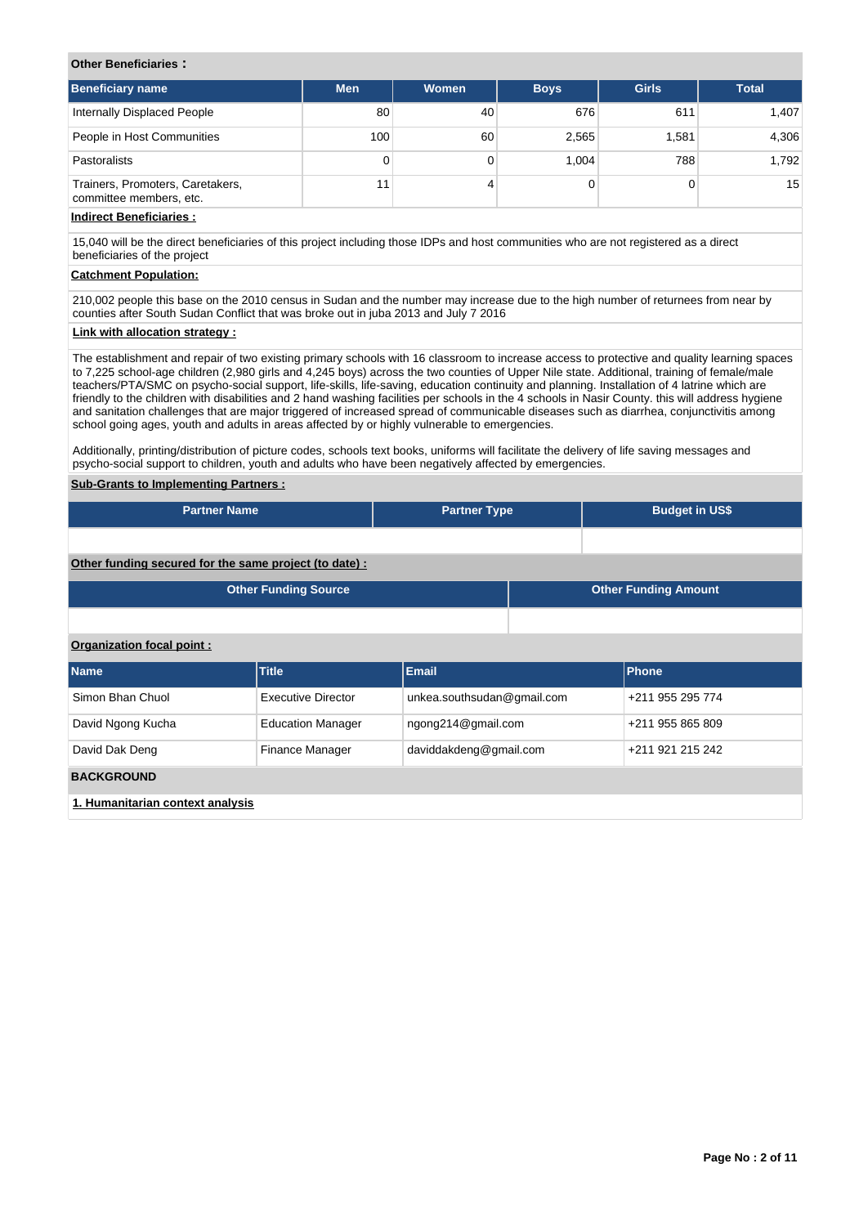## **Other Beneficiaries :**

| <b>Beneficiary name</b>                                     | <b>Men</b> | Women | <b>Boys</b> | <b>Girls</b> | <b>Total</b> |
|-------------------------------------------------------------|------------|-------|-------------|--------------|--------------|
| Internally Displaced People                                 | 80         | 40    | 676         | 611          | 1,407        |
| People in Host Communities                                  | 100        | 60    | 2,565       | 1.581        | 4,306        |
| Pastoralists                                                | 0          |       | 1.004       | 788          | 1,792        |
| Trainers, Promoters, Caretakers,<br>committee members, etc. | 1          |       |             |              | 15           |

# **Indirect Beneficiaries :**

15,040 will be the direct beneficiaries of this project including those IDPs and host communities who are not registered as a direct beneficiaries of the project

### **Catchment Population:**

210,002 people this base on the 2010 census in Sudan and the number may increase due to the high number of returnees from near by counties after South Sudan Conflict that was broke out in juba 2013 and July 7 2016

# **Link with allocation strategy :**

The establishment and repair of two existing primary schools with 16 classroom to increase access to protective and quality learning spaces to 7,225 school-age children (2,980 girls and 4,245 boys) across the two counties of Upper Nile state. Additional, training of female/male teachers/PTA/SMC on psycho-social support, life-skills, life-saving, education continuity and planning. Installation of 4 latrine which are friendly to the children with disabilities and 2 hand washing facilities per schools in the 4 schools in Nasir County. this will address hygiene and sanitation challenges that are major triggered of increased spread of communicable diseases such as diarrhea, conjunctivitis among school going ages, youth and adults in areas affected by or highly vulnerable to emergencies.

Additionally, printing/distribution of picture codes, schools text books, uniforms will facilitate the delivery of life saving messages and psycho-social support to children, youth and adults who have been negatively affected by emergencies.

# **Sub-Grants to Implementing Partners :**

| <b>Partner Name</b>                                   | <b>Partner Type</b> | <b>Budget in US\$</b> |
|-------------------------------------------------------|---------------------|-----------------------|
|                                                       |                     |                       |
| Other funding secured for the same project (to date): |                     |                       |

| <b>Other Funding Source</b> | <b>Other Funding Amount</b> |
|-----------------------------|-----------------------------|
|                             |                             |

# **Organization focal point :**

| <b>Name</b>                      | <b>Title</b>             | <b>Email</b>               | <b>Phone</b>     |  |  |  |  |  |  |
|----------------------------------|--------------------------|----------------------------|------------------|--|--|--|--|--|--|
| Simon Bhan Chuol                 | Executive Director       | unkea.southsudan@gmail.com | +211 955 295 774 |  |  |  |  |  |  |
| David Ngong Kucha                | <b>Education Manager</b> | ngong214@gmail.com         | +211 955 865 809 |  |  |  |  |  |  |
| David Dak Deng                   | <b>Finance Manager</b>   | daviddakdeng@gmail.com     | +211 921 215 242 |  |  |  |  |  |  |
| <b>BACKGROUND</b>                |                          |                            |                  |  |  |  |  |  |  |
| 1. Humanitarian context analysis |                          |                            |                  |  |  |  |  |  |  |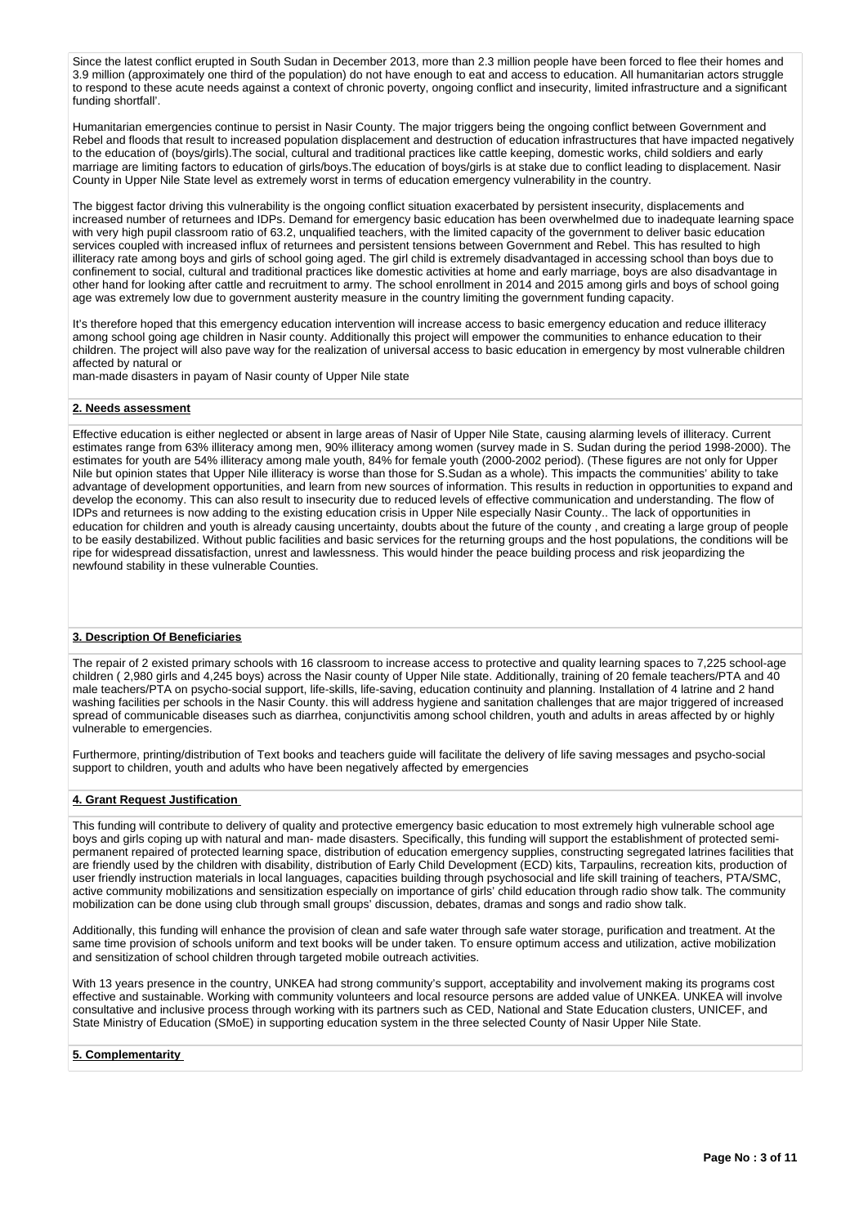Since the latest conflict erupted in South Sudan in December 2013, more than 2.3 million people have been forced to flee their homes and 3.9 million (approximately one third of the population) do not have enough to eat and access to education. All humanitarian actors struggle to respond to these acute needs against a context of chronic poverty, ongoing conflict and insecurity, limited infrastructure and a significant funding shortfall'.

Humanitarian emergencies continue to persist in Nasir County. The major triggers being the ongoing conflict between Government and Rebel and floods that result to increased population displacement and destruction of education infrastructures that have impacted negatively to the education of (boys/girls).The social, cultural and traditional practices like cattle keeping, domestic works, child soldiers and early marriage are limiting factors to education of girls/boys.The education of boys/girls is at stake due to conflict leading to displacement. Nasir County in Upper Nile State level as extremely worst in terms of education emergency vulnerability in the country.

The biggest factor driving this vulnerability is the ongoing conflict situation exacerbated by persistent insecurity, displacements and increased number of returnees and IDPs. Demand for emergency basic education has been overwhelmed due to inadequate learning space with very high pupil classroom ratio of 63.2, unqualified teachers, with the limited capacity of the government to deliver basic education services coupled with increased influx of returnees and persistent tensions between Government and Rebel. This has resulted to high illiteracy rate among boys and girls of school going aged. The girl child is extremely disadvantaged in accessing school than boys due to confinement to social, cultural and traditional practices like domestic activities at home and early marriage, boys are also disadvantage in other hand for looking after cattle and recruitment to army. The school enrollment in 2014 and 2015 among girls and boys of school going age was extremely low due to government austerity measure in the country limiting the government funding capacity.

It's therefore hoped that this emergency education intervention will increase access to basic emergency education and reduce illiteracy among school going age children in Nasir county. Additionally this project will empower the communities to enhance education to their children. The project will also pave way for the realization of universal access to basic education in emergency by most vulnerable children affected by natural or

man-made disasters in payam of Nasir county of Upper Nile state

### **2. Needs assessment**

Effective education is either neglected or absent in large areas of Nasir of Upper Nile State, causing alarming levels of illiteracy. Current estimates range from 63% illiteracy among men, 90% illiteracy among women (survey made in S. Sudan during the period 1998-2000). The estimates for youth are 54% illiteracy among male youth, 84% for female youth (2000-2002 period). (These figures are not only for Upper Nile but opinion states that Upper Nile illiteracy is worse than those for S.Sudan as a whole). This impacts the communities' ability to take advantage of development opportunities, and learn from new sources of information. This results in reduction in opportunities to expand and develop the economy. This can also result to insecurity due to reduced levels of effective communication and understanding. The flow of IDPs and returnees is now adding to the existing education crisis in Upper Nile especially Nasir County.. The lack of opportunities in education for children and youth is already causing uncertainty, doubts about the future of the county , and creating a large group of people to be easily destabilized. Without public facilities and basic services for the returning groups and the host populations, the conditions will be ripe for widespread dissatisfaction, unrest and lawlessness. This would hinder the peace building process and risk jeopardizing the newfound stability in these vulnerable Counties.

### **3. Description Of Beneficiaries**

The repair of 2 existed primary schools with 16 classroom to increase access to protective and quality learning spaces to 7,225 school-age children ( 2,980 girls and 4,245 boys) across the Nasir county of Upper Nile state. Additionally, training of 20 female teachers/PTA and 40 male teachers/PTA on psycho-social support, life-skills, life-saving, education continuity and planning. Installation of 4 latrine and 2 hand washing facilities per schools in the Nasir County. this will address hygiene and sanitation challenges that are major triggered of increased spread of communicable diseases such as diarrhea, conjunctivitis among school children, youth and adults in areas affected by or highly vulnerable to emergencies.

Furthermore, printing/distribution of Text books and teachers guide will facilitate the delivery of life saving messages and psycho-social support to children, youth and adults who have been negatively affected by emergencies

### **4. Grant Request Justification**

This funding will contribute to delivery of quality and protective emergency basic education to most extremely high vulnerable school age boys and girls coping up with natural and man- made disasters. Specifically, this funding will support the establishment of protected semipermanent repaired of protected learning space, distribution of education emergency supplies, constructing segregated latrines facilities that are friendly used by the children with disability, distribution of Early Child Development (ECD) kits, Tarpaulins, recreation kits, production of user friendly instruction materials in local languages, capacities building through psychosocial and life skill training of teachers, PTA/SMC, active community mobilizations and sensitization especially on importance of girls' child education through radio show talk. The community mobilization can be done using club through small groups' discussion, debates, dramas and songs and radio show talk.

Additionally, this funding will enhance the provision of clean and safe water through safe water storage, purification and treatment. At the same time provision of schools uniform and text books will be under taken. To ensure optimum access and utilization, active mobilization and sensitization of school children through targeted mobile outreach activities.

With 13 years presence in the country, UNKEA had strong community's support, acceptability and involvement making its programs cost effective and sustainable. Working with community volunteers and local resource persons are added value of UNKEA. UNKEA will involve consultative and inclusive process through working with its partners such as CED, National and State Education clusters, UNICEF, and State Ministry of Education (SMoE) in supporting education system in the three selected County of Nasir Upper Nile State.

#### **5. Complementarity**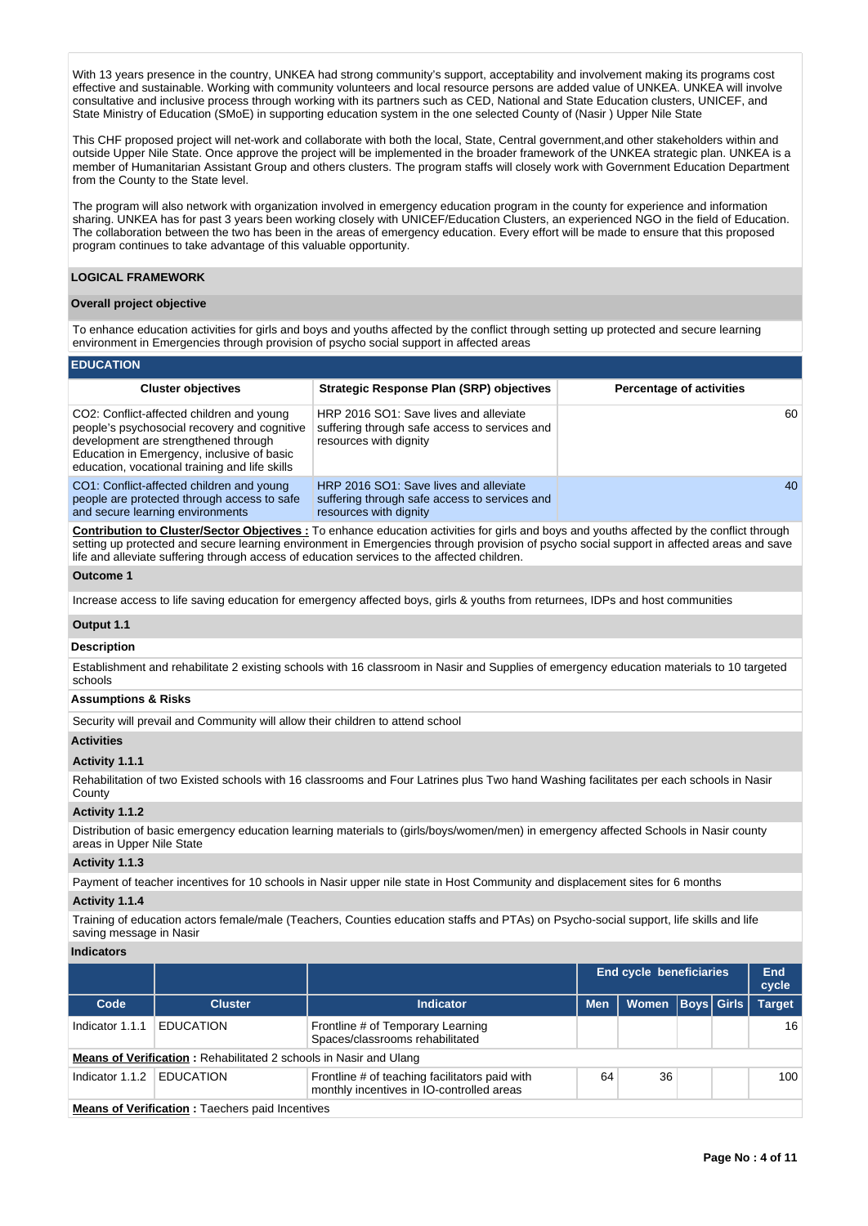With 13 years presence in the country, UNKEA had strong community's support, acceptability and involvement making its programs cost effective and sustainable. Working with community volunteers and local resource persons are added value of UNKEA. UNKEA will involve consultative and inclusive process through working with its partners such as CED, National and State Education clusters, UNICEF, and State Ministry of Education (SMoE) in supporting education system in the one selected County of (Nasir ) Upper Nile State

This CHF proposed project will net-work and collaborate with both the local, State, Central government,and other stakeholders within and outside Upper Nile State. Once approve the project will be implemented in the broader framework of the UNKEA strategic plan. UNKEA is a member of Humanitarian Assistant Group and others clusters. The program staffs will closely work with Government Education Department from the County to the State level.

The program will also network with organization involved in emergency education program in the county for experience and information sharing. UNKEA has for past 3 years been working closely with UNICEF/Education Clusters, an experienced NGO in the field of Education. The collaboration between the two has been in the areas of emergency education. Every effort will be made to ensure that this proposed program continues to take advantage of this valuable opportunity.

## **LOGICAL FRAMEWORK**

### **Overall project objective**

To enhance education activities for girls and boys and youths affected by the conflict through setting up protected and secure learning environment in Emergencies through provision of psycho social support in affected areas

#### **EDUCATION**

| <b>Cluster objectives</b>                                                                                                                                                                                                         | <b>Strategic Response Plan (SRP) objectives</b>                                                                   | <b>Percentage of activities</b> |
|-----------------------------------------------------------------------------------------------------------------------------------------------------------------------------------------------------------------------------------|-------------------------------------------------------------------------------------------------------------------|---------------------------------|
| CO2: Conflict-affected children and young<br>people's psychosocial recovery and cognitive<br>development are strengthened through<br>Education in Emergency, inclusive of basic<br>education, vocational training and life skills | HRP 2016 SO1: Save lives and alleviate<br>suffering through safe access to services and<br>resources with dignity | 60                              |
| CO1: Conflict-affected children and young<br>people are protected through access to safe<br>and secure learning environments                                                                                                      | HRP 2016 SO1: Save lives and alleviate<br>suffering through safe access to services and<br>resources with dignity | 40                              |

**Contribution to Cluster/Sector Objectives :** To enhance education activities for girls and boys and youths affected by the conflict through setting up protected and secure learning environment in Emergencies through provision of psycho social support in affected areas and save life and alleviate suffering through access of education services to the affected children.

#### **Outcome 1**

Increase access to life saving education for emergency affected boys, girls & youths from returnees, IDPs and host communities

#### **Output 1.1**

## **Description**

Establishment and rehabilitate 2 existing schools with 16 classroom in Nasir and Supplies of emergency education materials to 10 targeted schools

# **Assumptions & Risks**

Security will prevail and Community will allow their children to attend school

## **Activities**

### **Activity 1.1.1**

Rehabilitation of two Existed schools with 16 classrooms and Four Latrines plus Two hand Washing facilitates per each schools in Nasir County

#### **Activity 1.1.2**

Distribution of basic emergency education learning materials to (girls/boys/women/men) in emergency affected Schools in Nasir county areas in Upper Nile State

#### **Activity 1.1.3**

Payment of teacher incentives for 10 schools in Nasir upper nile state in Host Community and displacement sites for 6 months

# **Activity 1.1.4**

Training of education actors female/male (Teachers, Counties education staffs and PTAs) on Psycho-social support, life skills and life saving message in Nasir

### **Indicators**

|                                                        |                                                                          |                                                                                             | <b>End cycle beneficiaries</b> | End<br>cycle |  |                   |               |  |  |
|--------------------------------------------------------|--------------------------------------------------------------------------|---------------------------------------------------------------------------------------------|--------------------------------|--------------|--|-------------------|---------------|--|--|
| Code                                                   | <b>Cluster</b>                                                           | <b>Indicator</b>                                                                            | <b>Men</b>                     | Women        |  | <b>Boys Girls</b> | <b>Target</b> |  |  |
| Indicator 1.1.1                                        | <b>EDUCATION</b>                                                         | Frontline # of Temporary Learning<br>Spaces/classrooms rehabilitated                        |                                |              |  |                   | 16            |  |  |
|                                                        | <b>Means of Verification:</b> Rehabilitated 2 schools in Nasir and Ulang |                                                                                             |                                |              |  |                   |               |  |  |
| Indicator 1.1.2                                        | <b>EDUCATION</b>                                                         | Frontline # of teaching facilitators paid with<br>monthly incentives in IO-controlled areas | 64                             | 36           |  |                   | 100           |  |  |
| <b>Means of Verification: Taechers paid Incentives</b> |                                                                          |                                                                                             |                                |              |  |                   |               |  |  |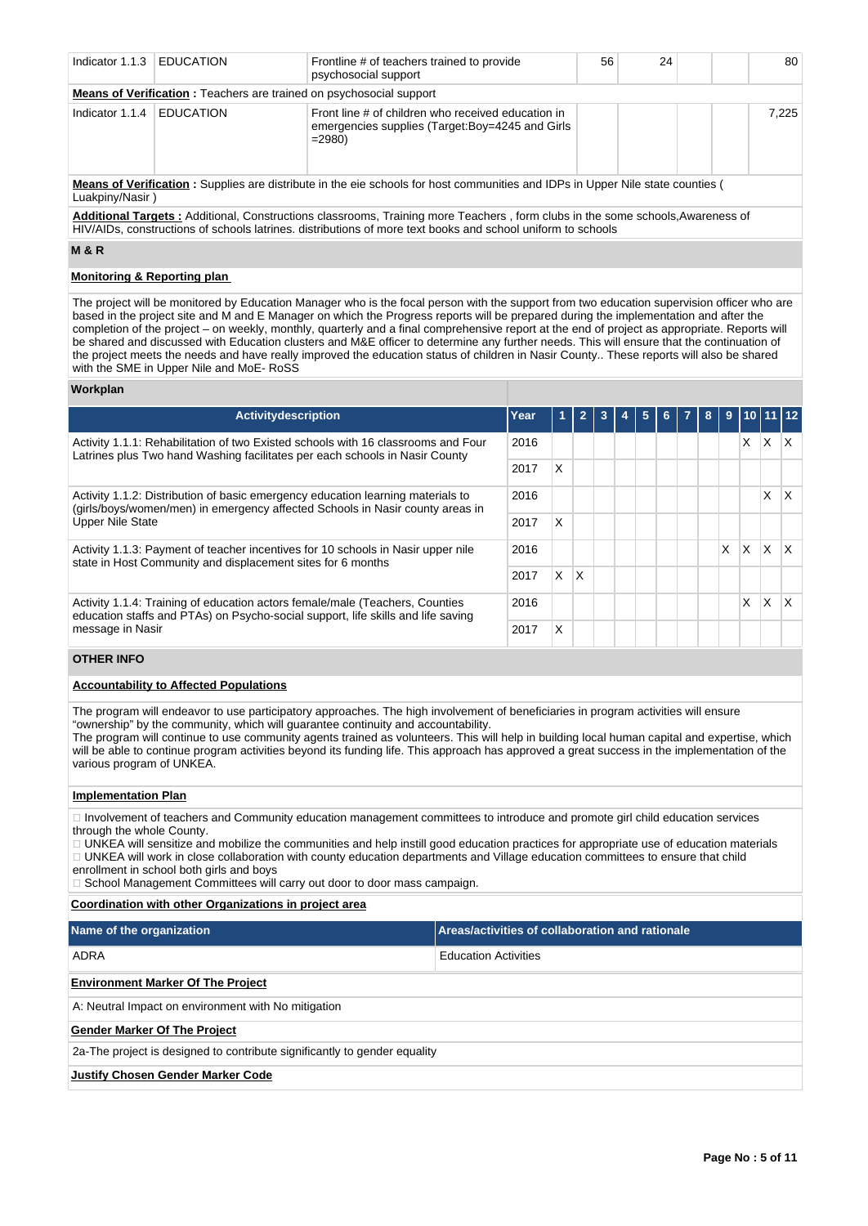| Indicator 1.1.3                                                                                                                      | <b>EDUCATION</b>                                                                                                                      | Frontline # of teachers trained to provide<br>psychosocial support | 56 | 24 |       | 80 |  |  |  |  |
|--------------------------------------------------------------------------------------------------------------------------------------|---------------------------------------------------------------------------------------------------------------------------------------|--------------------------------------------------------------------|----|----|-------|----|--|--|--|--|
|                                                                                                                                      | <b>Means of Verification:</b> Teachers are trained on psychosocial support                                                            |                                                                    |    |    |       |    |  |  |  |  |
| Indicator 1.1.4                                                                                                                      | Front line # of children who received education in<br><b>EDUCATION</b><br>emergencies supplies (Target:Boy=4245 and Girls<br>$= 2980$ |                                                                    |    |    | 7.225 |    |  |  |  |  |
| <b>Means of Verification</b> : Supplies are distribute in the eie schools for host communities and IDPs in Upper Nile state counties |                                                                                                                                       |                                                                    |    |    |       |    |  |  |  |  |

Luakpiny/Nasir )

**Additional Targets :** Additional, Constructions classrooms, Training more Teachers , form clubs in the some schools,Awareness of HIV/AIDs, constructions of schools latrines. distributions of more text books and school uniform to schools

**M & R**

# **Monitoring & Reporting plan**

The project will be monitored by Education Manager who is the focal person with the support from two education supervision officer who are based in the project site and M and E Manager on which the Progress reports will be prepared during the implementation and after the completion of the project – on weekly, monthly, quarterly and a final comprehensive report at the end of project as appropriate. Reports will be shared and discussed with Education clusters and M&E officer to determine any further needs. This will ensure that the continuation of the project meets the needs and have really improved the education status of children in Nasir County.. These reports will also be shared with the SME in Upper Nile and MoE-RoSS

### **Workplan**

| <b>Activitydescription</b>                                                                                                                                                                  | Year |   |   |  | 6 | $\mathbf{a}$ | 9 |    | 10 11 12 |     |
|---------------------------------------------------------------------------------------------------------------------------------------------------------------------------------------------|------|---|---|--|---|--------------|---|----|----------|-----|
| 2016<br>Activity 1.1.1: Rehabilitation of two Existed schools with 16 classrooms and Four<br>Latrines plus Two hand Washing facilitates per each schools in Nasir County                    |      |   |   |  |   |              |   | X. | X        | IX. |
|                                                                                                                                                                                             |      | X |   |  |   |              |   |    |          |     |
| Activity 1.1.2: Distribution of basic emergency education learning materials to<br>(girls/boys/women/men) in emergency affected Schools in Nasir county areas in<br><b>Upper Nile State</b> | 2016 |   |   |  |   |              |   |    | X        | ΙX. |
|                                                                                                                                                                                             | 2017 | X |   |  |   |              |   |    |          |     |
| Activity 1.1.3: Payment of teacher incentives for 10 schools in Nasir upper nile<br>state in Host Community and displacement sites for 6 months                                             |      |   |   |  |   |              | X | X  | X        | X.  |
|                                                                                                                                                                                             |      | X | X |  |   |              |   |    |          |     |
| Activity 1.1.4: Training of education actors female/male (Teachers, Counties<br>education staffs and PTAs) on Psycho-social support, life skills and life saving<br>message in Nasir        |      |   |   |  |   |              |   | X  | x        |     |
|                                                                                                                                                                                             |      | X |   |  |   |              |   |    |          |     |

### **OTHER INFO**

### **Accountability to Affected Populations**

The program will endeavor to use participatory approaches. The high involvement of beneficiaries in program activities will ensure "ownership" by the community, which will guarantee continuity and accountability.

The program will continue to use community agents trained as volunteers. This will help in building local human capital and expertise, which will be able to continue program activities beyond its funding life. This approach has approved a great success in the implementation of the various program of UNKEA.

#### **Implementation Plan**

Involvement of teachers and Community education management committees to introduce and promote girl child education services through the whole County.

UNKEA will sensitize and mobilize the communities and help instill good education practices for appropriate use of education materials UNKEA will work in close collaboration with county education departments and Village education committees to ensure that child

enrollment in school both girls and boys

□ School Management Committees will carry out door to door mass campaign.

### **Coordination with other Organizations in project area**

| Name of the organization                                                  | <b>Areas/activities of collaboration and rationale</b> |  |  |  |  |  |  |
|---------------------------------------------------------------------------|--------------------------------------------------------|--|--|--|--|--|--|
| ADRA                                                                      | <b>Education Activities</b>                            |  |  |  |  |  |  |
| <b>Environment Marker Of The Project</b>                                  |                                                        |  |  |  |  |  |  |
| A: Neutral Impact on environment with No mitigation                       |                                                        |  |  |  |  |  |  |
| <b>Gender Marker Of The Project</b>                                       |                                                        |  |  |  |  |  |  |
| 2a-The project is designed to contribute significantly to gender equality |                                                        |  |  |  |  |  |  |
| <b>Justify Chosen Gender Marker Code</b>                                  |                                                        |  |  |  |  |  |  |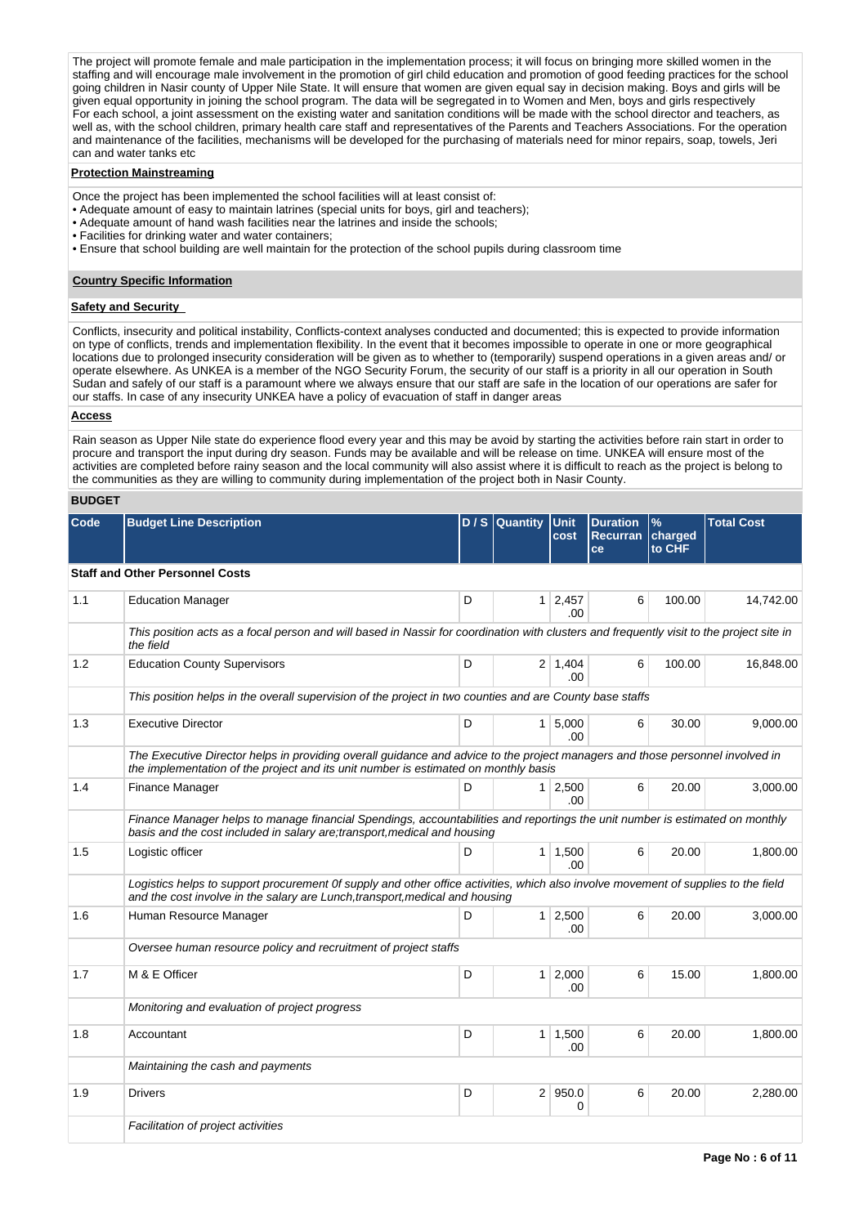The project will promote female and male participation in the implementation process; it will focus on bringing more skilled women in the staffing and will encourage male involvement in the promotion of girl child education and promotion of good feeding practices for the school going children in Nasir county of Upper Nile State. It will ensure that women are given equal say in decision making. Boys and girls will be given equal opportunity in joining the school program. The data will be segregated in to Women and Men, boys and girls respectively For each school, a joint assessment on the existing water and sanitation conditions will be made with the school director and teachers, as well as, with the school children, primary health care staff and representatives of the Parents and Teachers Associations. For the operation and maintenance of the facilities, mechanisms will be developed for the purchasing of materials need for minor repairs, soap, towels, Jeri can and water tanks etc

## **Protection Mainstreaming**

- Once the project has been implemented the school facilities will at least consist of:
- Adequate amount of easy to maintain latrines (special units for boys, girl and teachers);
- Adequate amount of hand wash facilities near the latrines and inside the schools;
- Facilities for drinking water and water containers;
- Ensure that school building are well maintain for the protection of the school pupils during classroom time

#### **Country Specific Information**

### **Safety and Security**

Conflicts, insecurity and political instability, Conflicts-context analyses conducted and documented; this is expected to provide information on type of conflicts, trends and implementation flexibility. In the event that it becomes impossible to operate in one or more geographical locations due to prolonged insecurity consideration will be given as to whether to (temporarily) suspend operations in a given areas and/ or operate elsewhere. As UNKEA is a member of the NGO Security Forum, the security of our staff is a priority in all our operation in South Sudan and safely of our staff is a paramount where we always ensure that our staff are safe in the location of our operations are safer for our staffs. In case of any insecurity UNKEA have a policy of evacuation of staff in danger areas

#### **Access**

Rain season as Upper Nile state do experience flood every year and this may be avoid by starting the activities before rain start in order to procure and transport the input during dry season. Funds may be available and will be release on time. UNKEA will ensure most of the activities are completed before rainy season and the local community will also assist where it is difficult to reach as the project is belong to the communities as they are willing to community during implementation of the project both in Nasir County.

#### **BUDGET**

| Code | <b>Budget Line Description</b>                                                                                                                                                                                       |   | D / S Quantity | Unit<br>cost          | <b>Duration</b><br><b>Recurran</b><br>ce | $\%$<br>charged<br>to CHF | <b>Total Cost</b> |  |  |  |  |
|------|----------------------------------------------------------------------------------------------------------------------------------------------------------------------------------------------------------------------|---|----------------|-----------------------|------------------------------------------|---------------------------|-------------------|--|--|--|--|
|      | <b>Staff and Other Personnel Costs</b>                                                                                                                                                                               |   |                |                       |                                          |                           |                   |  |  |  |  |
| 1.1  | <b>Education Manager</b>                                                                                                                                                                                             | D | 1 <sup>1</sup> | 2,457<br>.00          | 6                                        | 100.00                    | 14,742.00         |  |  |  |  |
|      | This position acts as a focal person and will based in Nassir for coordination with clusters and frequently visit to the project site in<br>the field                                                                |   |                |                       |                                          |                           |                   |  |  |  |  |
| 1.2  | <b>Education County Supervisors</b>                                                                                                                                                                                  | D |                | $2 \mid 1,404$<br>.00 | 6                                        | 100.00                    | 16,848.00         |  |  |  |  |
|      | This position helps in the overall supervision of the project in two counties and are County base staffs                                                                                                             |   |                |                       |                                          |                           |                   |  |  |  |  |
| 1.3  | <b>Executive Director</b>                                                                                                                                                                                            | D |                | 1 5,000<br>.00        | 6                                        | 30.00                     | 9,000.00          |  |  |  |  |
|      | The Executive Director helps in providing overall guidance and advice to the project managers and those personnel involved in<br>the implementation of the project and its unit number is estimated on monthly basis |   |                |                       |                                          |                           |                   |  |  |  |  |
| 1.4  | Finance Manager                                                                                                                                                                                                      | D |                | $1 \mid 2,500$<br>.00 | 6                                        | 20.00                     | 3,000.00          |  |  |  |  |
|      | Finance Manager helps to manage financial Spendings, accountabilities and reportings the unit number is estimated on monthly<br>basis and the cost included in salary are; transport, medical and housing            |   |                |                       |                                          |                           |                   |  |  |  |  |
| 1.5  | Logistic officer                                                                                                                                                                                                     | D |                | $1 \mid 1,500$<br>.00 | 6                                        | 20.00                     | 1,800.00          |  |  |  |  |
|      | Logistics helps to support procurement 0f supply and other office activities, which also involve movement of supplies to the field<br>and the cost involve in the salary are Lunch, transport, medical and housing   |   |                |                       |                                          |                           |                   |  |  |  |  |
| 1.6  | Human Resource Manager                                                                                                                                                                                               | D |                | $1 \mid 2,500$<br>.00 | 6                                        | 20.00                     | 3,000.00          |  |  |  |  |
|      | Oversee human resource policy and recruitment of project staffs                                                                                                                                                      |   |                |                       |                                          |                           |                   |  |  |  |  |
| 1.7  | M & E Officer                                                                                                                                                                                                        | D |                | $1 \mid 2,000$<br>.00 | 6                                        | 15.00                     | 1,800.00          |  |  |  |  |
|      | Monitoring and evaluation of project progress                                                                                                                                                                        |   |                |                       |                                          |                           |                   |  |  |  |  |
| 1.8  | Accountant                                                                                                                                                                                                           | D |                | $1 \mid 1,500$<br>.00 | 6                                        | 20.00                     | 1,800.00          |  |  |  |  |
|      | Maintaining the cash and payments                                                                                                                                                                                    |   |                |                       |                                          |                           |                   |  |  |  |  |
| 1.9  | <b>Drivers</b>                                                                                                                                                                                                       | D |                | 2   950.0<br>0        | 6                                        | 20.00                     | 2,280.00          |  |  |  |  |
|      | Facilitation of project activities                                                                                                                                                                                   |   |                |                       |                                          |                           |                   |  |  |  |  |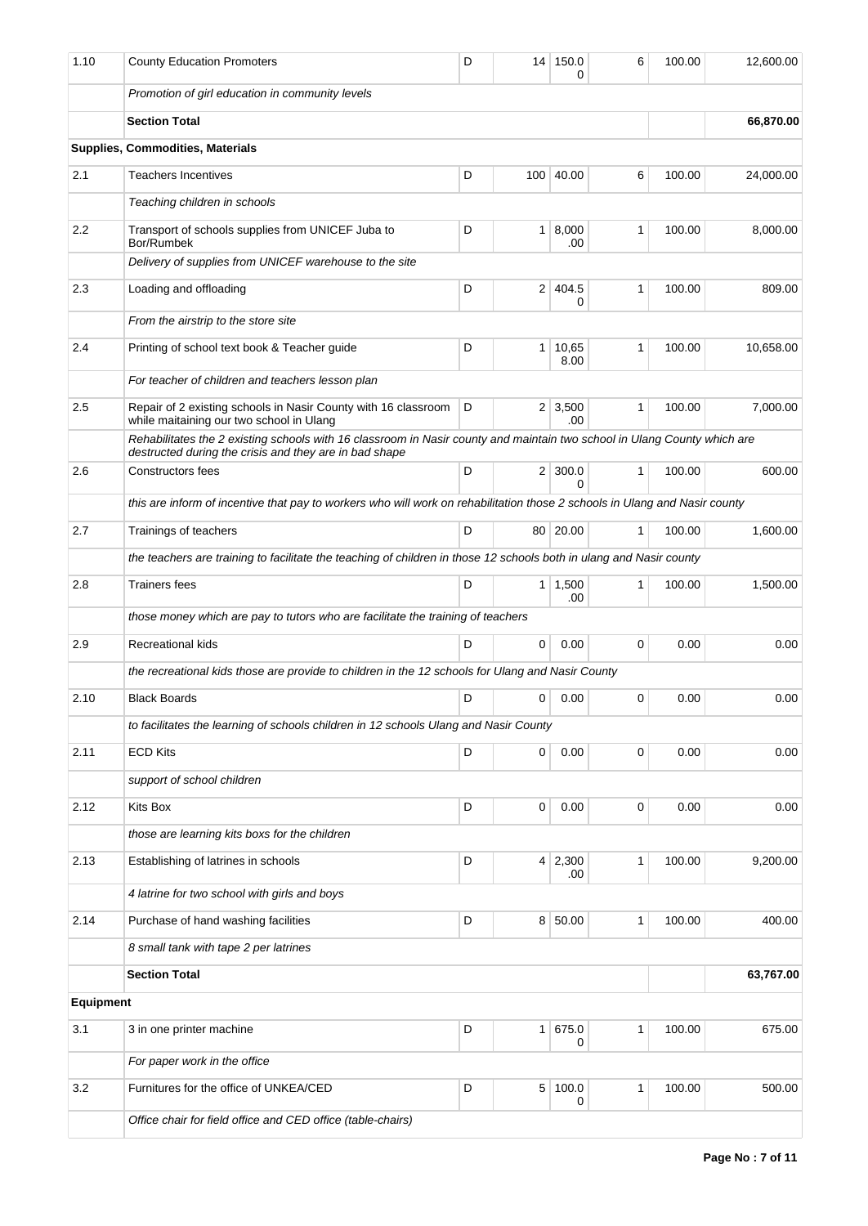| 1.10      | <b>County Education Promoters</b>                                                                                                                                                  | D |                | 14 150.0<br>0              | 6            | 100.00 | 12,600.00 |  |  |
|-----------|------------------------------------------------------------------------------------------------------------------------------------------------------------------------------------|---|----------------|----------------------------|--------------|--------|-----------|--|--|
|           | Promotion of girl education in community levels                                                                                                                                    |   |                |                            |              |        |           |  |  |
|           | <b>Section Total</b>                                                                                                                                                               |   | 66,870.00      |                            |              |        |           |  |  |
|           | Supplies, Commodities, Materials                                                                                                                                                   |   |                |                            |              |        |           |  |  |
| 2.1       | <b>Teachers Incentives</b>                                                                                                                                                         | D |                | 100 40.00                  | 6            | 100.00 | 24,000.00 |  |  |
|           | Teaching children in schools                                                                                                                                                       |   |                |                            |              |        |           |  |  |
| 2.2       | Transport of schools supplies from UNICEF Juba to<br>Bor/Rumbek                                                                                                                    | D |                | $1 \, 8,000$<br>.00        | 1            | 100.00 | 8,000.00  |  |  |
|           | Delivery of supplies from UNICEF warehouse to the site                                                                                                                             |   |                |                            |              |        |           |  |  |
| 2.3       | Loading and offloading                                                                                                                                                             | D | 2              | 404.5<br>0                 | 1            | 100.00 | 809.00    |  |  |
|           | From the airstrip to the store site                                                                                                                                                |   |                |                            |              |        |           |  |  |
| 2.4       | Printing of school text book & Teacher guide                                                                                                                                       | D | 1 <sup>1</sup> | 10,65<br>8.00              | 1            | 100.00 | 10,658.00 |  |  |
|           | For teacher of children and teachers lesson plan                                                                                                                                   |   |                |                            |              |        |           |  |  |
| 2.5       | Repair of 2 existing schools in Nasir County with 16 classroom<br>while maitaining our two school in Ulang                                                                         | D |                | $2 \mid 3,500$<br>.00      | $\mathbf{1}$ | 100.00 | 7,000.00  |  |  |
|           | Rehabilitates the 2 existing schools with 16 classroom in Nasir county and maintain two school in Ulang County which are<br>destructed during the crisis and they are in bad shape |   |                |                            |              |        |           |  |  |
| 2.6       | Constructors fees                                                                                                                                                                  | D |                | $2 \mid 300.0$<br>$\Omega$ | 1            | 100.00 | 600.00    |  |  |
|           | this are inform of incentive that pay to workers who will work on rehabilitation those 2 schools in Ulang and Nasir county                                                         |   |                |                            |              |        |           |  |  |
| 2.7       | Trainings of teachers                                                                                                                                                              | D |                | 80 20.00                   | $\mathbf{1}$ | 100.00 | 1,600.00  |  |  |
|           | the teachers are training to facilitate the teaching of children in those 12 schools both in ulang and Nasir county                                                                |   |                |                            |              |        |           |  |  |
| 2.8       | <b>Trainers fees</b>                                                                                                                                                               | D |                | $1 \mid 1,500$<br>.00      | 1            | 100.00 | 1,500.00  |  |  |
|           | those money which are pay to tutors who are facilitate the training of teachers                                                                                                    |   |                |                            |              |        |           |  |  |
| 2.9       | <b>Recreational kids</b>                                                                                                                                                           | D | 0              | 0.00                       | 0            | 0.00   | 0.00      |  |  |
|           | the recreational kids those are provide to children in the 12 schools for Ulang and Nasir County                                                                                   |   |                |                            |              |        |           |  |  |
| 2.10      | <b>Black Boards</b>                                                                                                                                                                | D | 0              | 0.00                       | 0            | 0.00   | 0.00      |  |  |
|           | to facilitates the learning of schools children in 12 schools Ulang and Nasir County                                                                                               |   |                |                            |              |        |           |  |  |
| 2.11      | <b>ECD Kits</b>                                                                                                                                                                    | D | 0              | 0.00                       | 0            | 0.00   | 0.00      |  |  |
|           | support of school children                                                                                                                                                         |   |                |                            |              |        |           |  |  |
| 2.12      | Kits Box                                                                                                                                                                           | D | 0              | 0.00                       | 0            | 0.00   | 0.00      |  |  |
|           | those are learning kits boxs for the children                                                                                                                                      |   |                |                            |              |        |           |  |  |
| 2.13      | Establishing of latrines in schools                                                                                                                                                | D | 4              | 2,300<br>.00               | 1            | 100.00 | 9,200.00  |  |  |
|           | 4 latrine for two school with girls and boys                                                                                                                                       |   |                |                            |              |        |           |  |  |
| 2.14      | Purchase of hand washing facilities                                                                                                                                                | D | 8 <sup>1</sup> | 50.00                      | 1            | 100.00 | 400.00    |  |  |
|           | 8 small tank with tape 2 per latrines                                                                                                                                              |   |                |                            |              |        |           |  |  |
|           | <b>Section Total</b>                                                                                                                                                               |   |                |                            |              |        | 63,767.00 |  |  |
| Equipment |                                                                                                                                                                                    |   |                |                            |              |        |           |  |  |
| 3.1       | 3 in one printer machine                                                                                                                                                           | D | 1 <sup>1</sup> | 675.0<br>0                 | $\mathbf{1}$ | 100.00 | 675.00    |  |  |
|           | For paper work in the office                                                                                                                                                       |   |                |                            |              |        |           |  |  |
| 3.2       | Furnitures for the office of UNKEA/CED                                                                                                                                             | D | 5              | 100.0<br>0                 | 1            | 100.00 | 500.00    |  |  |
|           | Office chair for field office and CED office (table-chairs)                                                                                                                        |   |                |                            |              |        |           |  |  |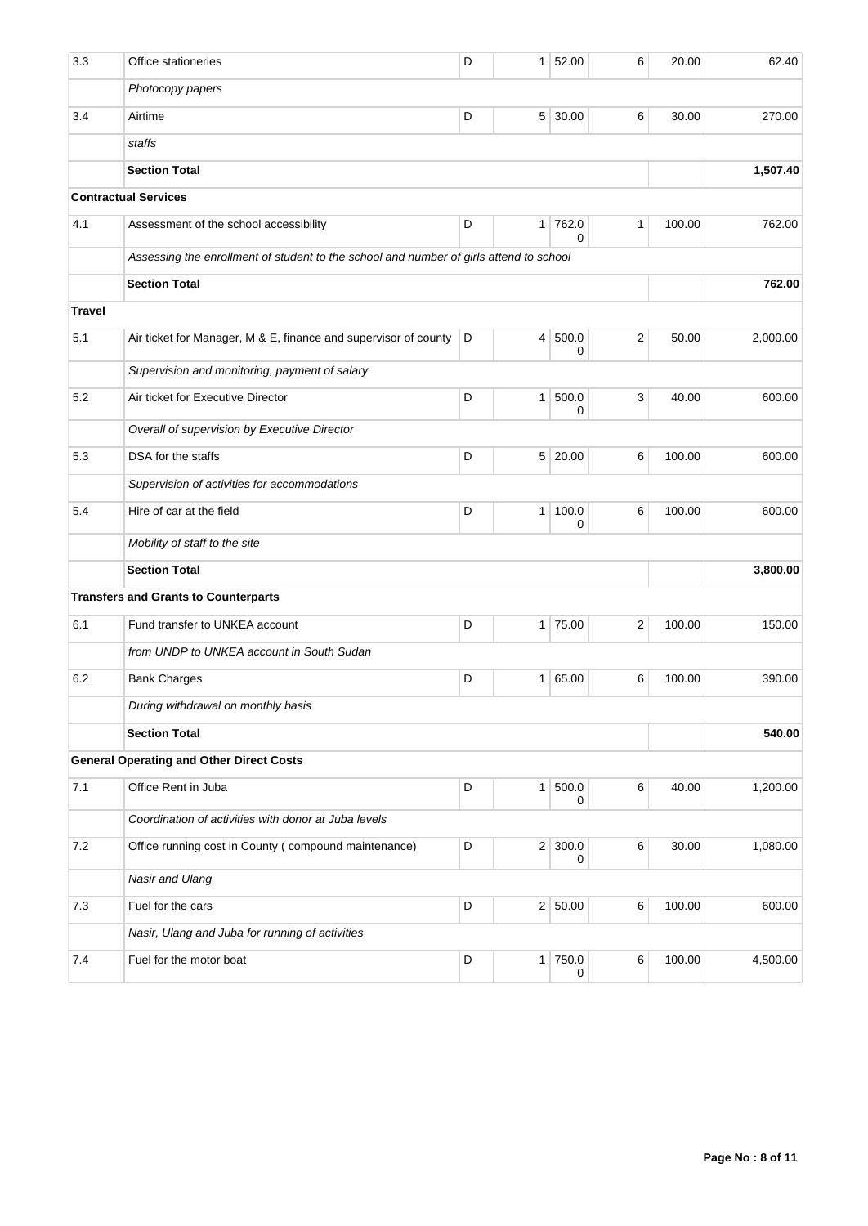| 3.3           | Office stationeries                                                                    | D | 1 <sup>1</sup> | 52.00               | 6              | 20.00  | 62.40    |  |
|---------------|----------------------------------------------------------------------------------------|---|----------------|---------------------|----------------|--------|----------|--|
|               | Photocopy papers                                                                       |   |                |                     |                |        |          |  |
| 3.4           | Airtime                                                                                | D | 5 <sup>1</sup> | 30.00               | 6              | 30.00  | 270.00   |  |
|               | staffs                                                                                 |   |                |                     |                |        |          |  |
|               | <b>Section Total</b>                                                                   |   |                |                     |                |        | 1,507.40 |  |
|               | <b>Contractual Services</b>                                                            |   |                |                     |                |        |          |  |
| 4.1           | Assessment of the school accessibility                                                 | D |                | 1 762.0<br>$\Omega$ | 1              | 100.00 | 762.00   |  |
|               | Assessing the enrollment of student to the school and number of girls attend to school |   |                |                     |                |        |          |  |
|               | <b>Section Total</b>                                                                   |   | 762.00         |                     |                |        |          |  |
| <b>Travel</b> |                                                                                        |   |                |                     |                |        |          |  |
| 5.1           | Air ticket for Manager, M & E, finance and supervisor of county                        | D | 4 <sup>1</sup> | 500.0<br>0          | 2              | 50.00  | 2,000.00 |  |
|               | Supervision and monitoring, payment of salary                                          |   |                |                     |                |        |          |  |
| 5.2           | Air ticket for Executive Director                                                      | D | 1 <sup>1</sup> | 500.0<br>0          | 3              | 40.00  | 600.00   |  |
|               | Overall of supervision by Executive Director                                           |   |                |                     |                |        |          |  |
| 5.3           | DSA for the staffs                                                                     | D | 5 <sup>1</sup> | 20.00               | 6              | 100.00 | 600.00   |  |
|               | Supervision of activities for accommodations                                           |   |                |                     |                |        |          |  |
| 5.4           | Hire of car at the field                                                               | D | 1 <sup>1</sup> | 100.0<br>0          | 6              | 100.00 | 600.00   |  |
|               | Mobility of staff to the site                                                          |   |                |                     |                |        |          |  |
|               | <b>Section Total</b>                                                                   |   | 3,800.00       |                     |                |        |          |  |
|               | <b>Transfers and Grants to Counterparts</b>                                            |   |                |                     |                |        |          |  |
| 6.1           | Fund transfer to UNKEA account                                                         | D |                | 1 75.00             | $\overline{2}$ | 100.00 | 150.00   |  |
|               | from UNDP to UNKEA account in South Sudan                                              |   |                |                     |                |        |          |  |
| 6.2           | <b>Bank Charges</b>                                                                    | D | 1 <sup>1</sup> | 65.00               | 6              | 100.00 | 390.00   |  |
|               | During withdrawal on monthly basis                                                     |   |                |                     |                |        |          |  |
|               | <b>Section Total</b>                                                                   |   | 540.00         |                     |                |        |          |  |
|               | <b>General Operating and Other Direct Costs</b>                                        |   |                |                     |                |        |          |  |
| 7.1           | Office Rent in Juba                                                                    | D | 1 <sup>1</sup> | 500.0<br>0          | 6              | 40.00  | 1,200.00 |  |
|               | Coordination of activities with donor at Juba levels                                   |   |                |                     |                |        |          |  |
| 7.2           | Office running cost in County (compound maintenance)                                   | D |                | 2 300.0<br>0        | 6              | 30.00  | 1,080.00 |  |
|               | Nasir and Ulang                                                                        |   |                |                     |                |        |          |  |
| 7.3           | Fuel for the cars                                                                      | D |                | 2 50.00             | 6              | 100.00 | 600.00   |  |
|               | Nasir, Ulang and Juba for running of activities                                        |   |                |                     |                |        |          |  |
| 7.4           | Fuel for the motor boat                                                                | D |                | 1 750.0<br>0        | 6              | 100.00 | 4,500.00 |  |